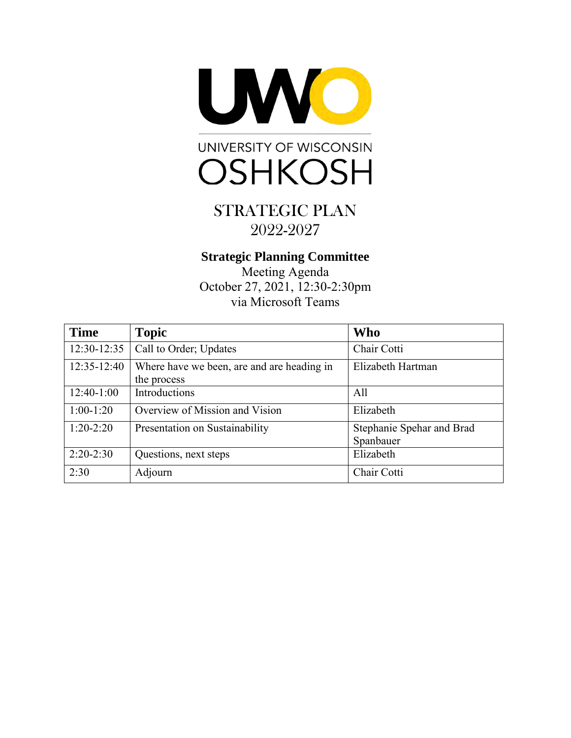



### **Strategic Planning Committee**

Meeting Agenda October 27, 2021, 12:30-2:30pm via Microsoft Teams

| <b>Time</b>  | <b>Topic</b>                                              | <b>Who</b>                             |
|--------------|-----------------------------------------------------------|----------------------------------------|
| 12:30-12:35  | Call to Order; Updates                                    | Chair Cotti                            |
| 12:35-12:40  | Where have we been, are and are heading in<br>the process | Elizabeth Hartman                      |
| $12:40-1:00$ | Introductions                                             | All                                    |
| $1:00-1:20$  | Overview of Mission and Vision                            | Elizabeth                              |
| $1:20-2:20$  | Presentation on Sustainability                            | Stephanie Spehar and Brad<br>Spanbauer |
| $2:20-2:30$  | Questions, next steps                                     | Elizabeth                              |
| 2:30         | Adjourn                                                   | Chair Cotti                            |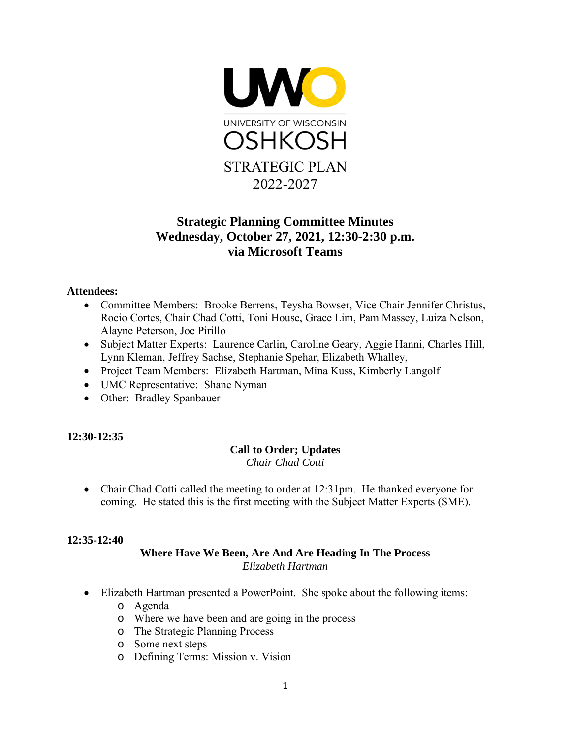

## **Strategic Planning Committee Minutes Wednesday, October 27, 2021, 12:30-2:30 p.m. via Microsoft Teams**

#### **Attendees:**

- Committee Members: Brooke Berrens, Teysha Bowser, Vice Chair Jennifer Christus, Rocio Cortes, Chair Chad Cotti, Toni House, Grace Lim, Pam Massey, Luiza Nelson, Alayne Peterson, Joe Pirillo
- Subject Matter Experts: Laurence Carlin, Caroline Geary, Aggie Hanni, Charles Hill, Lynn Kleman, Jeffrey Sachse, Stephanie Spehar, Elizabeth Whalley,
- Project Team Members: Elizabeth Hartman, Mina Kuss, Kimberly Langolf
- UMC Representative: Shane Nyman
- Other: Bradley Spanbauer

#### **12:30-12:35**

#### **Call to Order; Updates** *Chair Chad Cotti*

• Chair Chad Cotti called the meeting to order at 12:31pm. He thanked everyone for coming. He stated this is the first meeting with the Subject Matter Experts (SME).

#### **12:35-12:40**

#### **Where Have We Been, Are And Are Heading In The Process** *Elizabeth Hartman*

- Elizabeth Hartman presented a PowerPoint. She spoke about the following items:
	- o Agenda
	- o Where we have been and are going in the process
	- o The Strategic Planning Process
	- o Some next steps
	- o Defining Terms: Mission v. Vision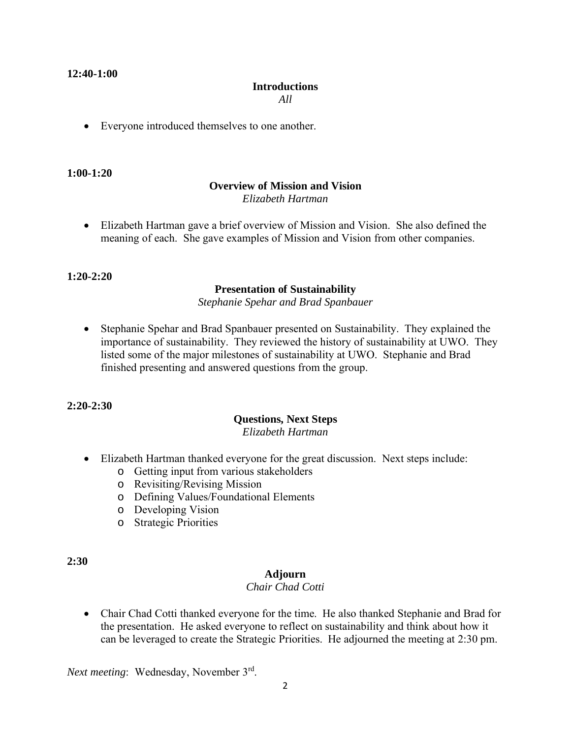#### **12:40-1:00**

#### **Introductions**

*All*

• Everyone introduced themselves to one another.

#### **1:00-1:20**

#### **Overview of Mission and Vision** *Elizabeth Hartman*

• Elizabeth Hartman gave a brief overview of Mission and Vision. She also defined the meaning of each. She gave examples of Mission and Vision from other companies.

#### **1:20-2:20**

#### **Presentation of Sustainability**

*Stephanie Spehar and Brad Spanbauer*

• Stephanie Spehar and Brad Spanbauer presented on Sustainability. They explained the importance of sustainability. They reviewed the history of sustainability at UWO. They listed some of the major milestones of sustainability at UWO. Stephanie and Brad finished presenting and answered questions from the group.

#### **2:20-2:30**

#### **Questions, Next Steps** *Elizabeth Hartman*

- Elizabeth Hartman thanked everyone for the great discussion. Next steps include:
	- o Getting input from various stakeholders
	- o Revisiting/Revising Mission
	- o Defining Values/Foundational Elements
	- o Developing Vision
	- o Strategic Priorities

#### **2:30**

#### **Adjourn**

#### *Chair Chad Cotti*

• Chair Chad Cotti thanked everyone for the time. He also thanked Stephanie and Brad for the presentation. He asked everyone to reflect on sustainability and think about how it can be leveraged to create the Strategic Priorities. He adjourned the meeting at 2:30 pm.

*Next meeting*: Wednesday, November 3<sup>rd</sup>.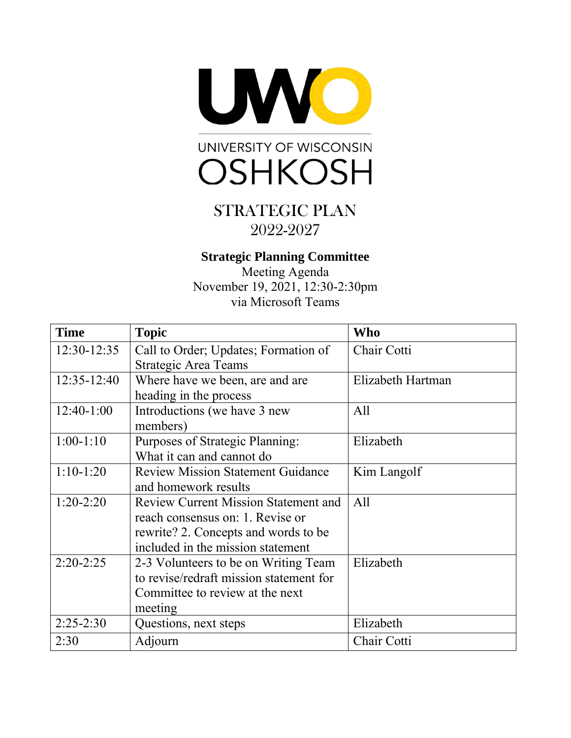



## **Strategic Planning Committee**

Meeting Agenda November 19, 2021, 12:30-2:30pm via Microsoft Teams

| <b>Time</b>     | <b>Topic</b>                                | <b>Who</b>        |
|-----------------|---------------------------------------------|-------------------|
| 12:30-12:35     | Call to Order; Updates; Formation of        | Chair Cotti       |
|                 | <b>Strategic Area Teams</b>                 |                   |
| $12:35 - 12:40$ | Where have we been, are and are             | Elizabeth Hartman |
|                 | heading in the process                      |                   |
| $12:40-1:00$    | Introductions (we have 3 new                | All               |
|                 | members)                                    |                   |
| $1:00-1:10$     | Purposes of Strategic Planning:             | Elizabeth         |
|                 | What it can and cannot do                   |                   |
| $1:10-1:20$     | <b>Review Mission Statement Guidance</b>    | Kim Langolf       |
|                 | and homework results                        |                   |
| $1:20-2:20$     | <b>Review Current Mission Statement and</b> | All               |
|                 | reach consensus on: 1. Revise or            |                   |
|                 | rewrite? 2. Concepts and words to be        |                   |
|                 | included in the mission statement           |                   |
| $2:20-2:25$     | 2-3 Volunteers to be on Writing Team        | Elizabeth         |
|                 | to revise/redraft mission statement for     |                   |
|                 | Committee to review at the next             |                   |
|                 | meeting                                     |                   |
| $2:25-2:30$     | Questions, next steps                       | Elizabeth         |
| 2:30            | Adjourn                                     | Chair Cotti       |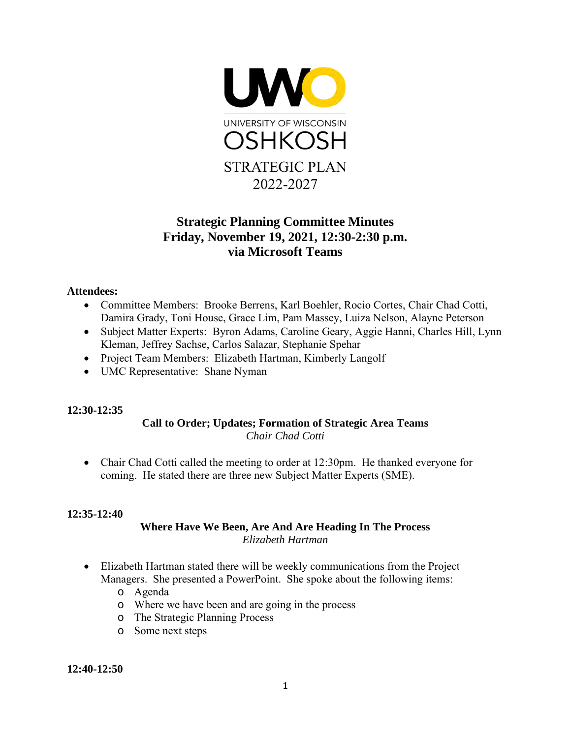

## **Strategic Planning Committee Minutes Friday, November 19, 2021, 12:30-2:30 p.m. via Microsoft Teams**

#### **Attendees:**

- Committee Members: Brooke Berrens, Karl Boehler, Rocio Cortes, Chair Chad Cotti, Damira Grady, Toni House, Grace Lim, Pam Massey, Luiza Nelson, Alayne Peterson
- Subject Matter Experts: Byron Adams, Caroline Geary, Aggie Hanni, Charles Hill, Lynn Kleman, Jeffrey Sachse, Carlos Salazar, Stephanie Spehar
- Project Team Members: Elizabeth Hartman, Kimberly Langolf
- UMC Representative: Shane Nyman

#### **12:30-12:35**

#### **Call to Order; Updates; Formation of Strategic Area Teams**  *Chair Chad Cotti*

• Chair Chad Cotti called the meeting to order at 12:30pm. He thanked everyone for coming. He stated there are three new Subject Matter Experts (SME).

#### **12:35-12:40**

#### **Where Have We Been, Are And Are Heading In The Process** *Elizabeth Hartman*

- Elizabeth Hartman stated there will be weekly communications from the Project Managers. She presented a PowerPoint. She spoke about the following items:
	- o Agenda
	- o Where we have been and are going in the process
	- o The Strategic Planning Process
	- o Some next steps

**12:40-12:50**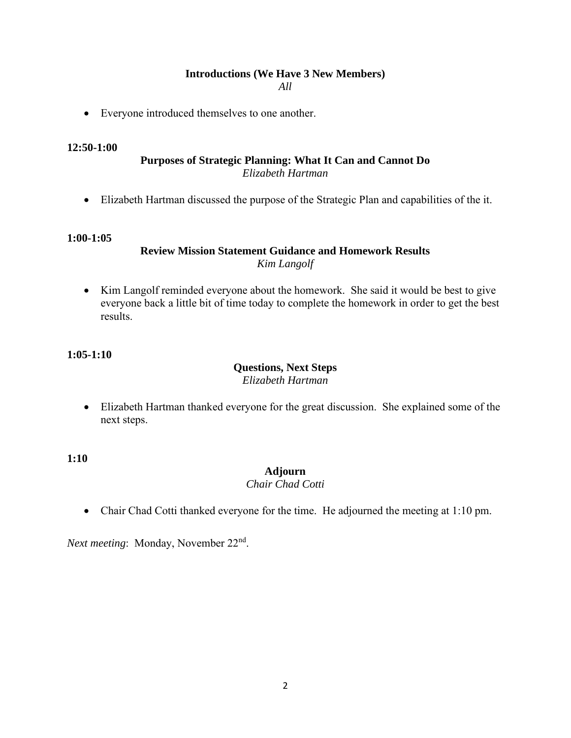## **Introductions (We Have 3 New Members)**

*All*

• Everyone introduced themselves to one another.

#### **12:50-1:00**

#### **Purposes of Strategic Planning: What It Can and Cannot Do**  *Elizabeth Hartman*

• Elizabeth Hartman discussed the purpose of the Strategic Plan and capabilities of the it.

#### **1:00-1:05**

#### **Review Mission Statement Guidance and Homework Results** *Kim Langolf*

• Kim Langolf reminded everyone about the homework. She said it would be best to give everyone back a little bit of time today to complete the homework in order to get the best results.

#### **1:05-1:10**

#### **Questions, Next Steps** *Elizabeth Hartman*

• Elizabeth Hartman thanked everyone for the great discussion. She explained some of the next steps.

**1:10** 

#### **Adjourn**

#### *Chair Chad Cotti*

• Chair Chad Cotti thanked everyone for the time. He adjourned the meeting at 1:10 pm.

*Next meeting*: Monday, November 22<sup>nd</sup>.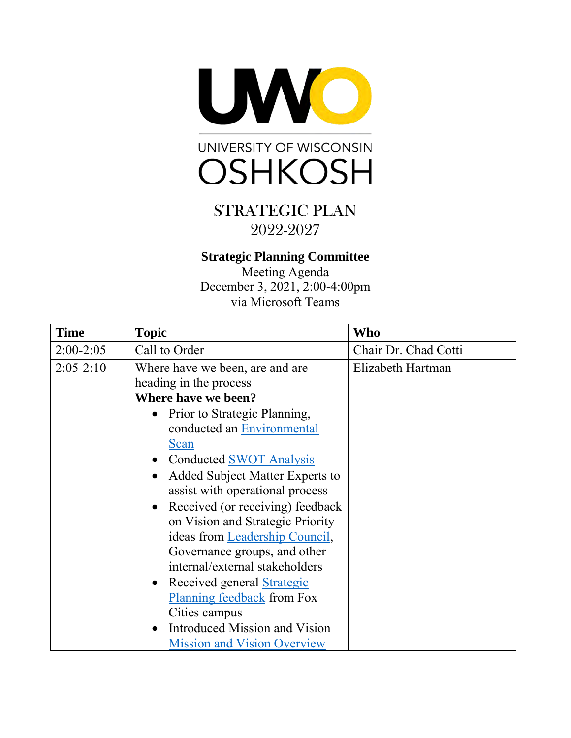



## **Strategic Planning Committee**

Meeting Agenda December 3, 2021, 2:00-4:00pm via Microsoft Teams

| <b>Time</b> | <b>Topic</b>                                  | Who                  |
|-------------|-----------------------------------------------|----------------------|
| $2:00-2:05$ | Call to Order                                 | Chair Dr. Chad Cotti |
| $2:05-2:10$ | Where have we been, are and are               | Elizabeth Hartman    |
|             | heading in the process                        |                      |
|             | Where have we been?                           |                      |
|             | Prior to Strategic Planning,                  |                      |
|             | conducted an Environmental                    |                      |
|             | Scan                                          |                      |
|             | • Conducted SWOT Analysis                     |                      |
|             | Added Subject Matter Experts to<br>$\bullet$  |                      |
|             | assist with operational process               |                      |
|             | Received (or receiving) feedback<br>$\bullet$ |                      |
|             | on Vision and Strategic Priority              |                      |
|             | ideas from Leadership Council,                |                      |
|             | Governance groups, and other                  |                      |
|             | internal/external stakeholders                |                      |
|             | • Received general Strategic                  |                      |
|             | Planning feedback from Fox                    |                      |
|             | Cities campus                                 |                      |
|             | Introduced Mission and Vision<br>$\bullet$    |                      |
|             | <b>Mission and Vision Overview</b>            |                      |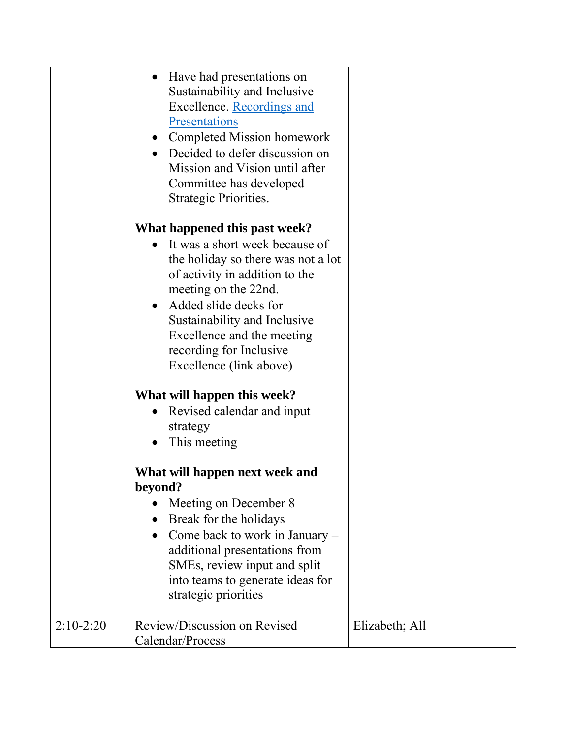|             | • Have had presentations on<br>Sustainability and Inclusive<br>Excellence. Recordings and<br>Presentations<br>• Completed Mission homework<br>• Decided to defer discussion on<br>Mission and Vision until after<br>Committee has developed<br>Strategic Priorities.<br>What happened this past week?<br>It was a short week because of<br>$\bullet$<br>the holiday so there was not a lot<br>of activity in addition to the<br>meeting on the 22nd.<br>Added slide decks for<br>$\bullet$ |                |
|-------------|--------------------------------------------------------------------------------------------------------------------------------------------------------------------------------------------------------------------------------------------------------------------------------------------------------------------------------------------------------------------------------------------------------------------------------------------------------------------------------------------|----------------|
|             | Sustainability and Inclusive<br>Excellence and the meeting<br>recording for Inclusive<br>Excellence (link above)                                                                                                                                                                                                                                                                                                                                                                           |                |
|             | What will happen this week?<br>Revised calendar and input<br>$\bullet$<br>strategy<br>This meeting                                                                                                                                                                                                                                                                                                                                                                                         |                |
|             | What will happen next week and<br>beyond?<br>Meeting on December 8<br>Break for the holidays<br>Come back to work in January -<br>additional presentations from<br>SMEs, review input and split<br>into teams to generate ideas for<br>strategic priorities                                                                                                                                                                                                                                |                |
| $2:10-2:20$ | Review/Discussion on Revised<br>Calendar/Process                                                                                                                                                                                                                                                                                                                                                                                                                                           | Elizabeth; All |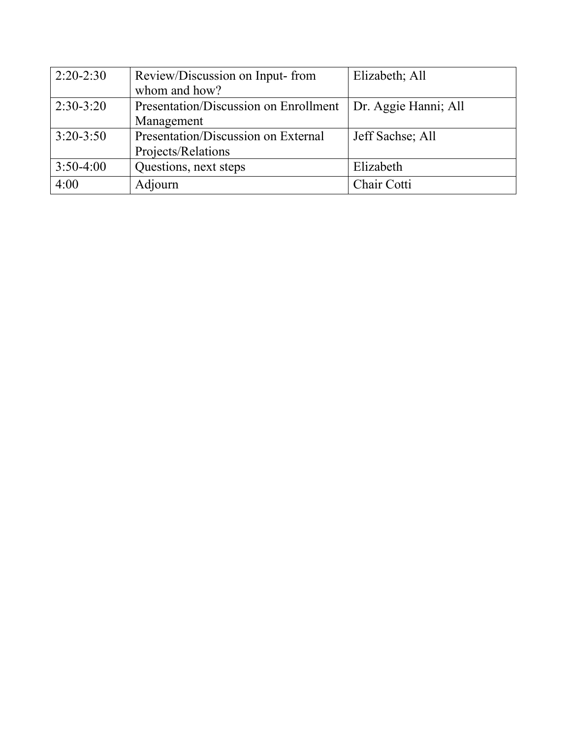| $2:20-2:30$   | Review/Discussion on Input-from       | Elizabeth; All       |
|---------------|---------------------------------------|----------------------|
|               | whom and how?                         |                      |
| $2:30-3:20$   | Presentation/Discussion on Enrollment | Dr. Aggie Hanni; All |
|               | Management                            |                      |
| $3:20 - 3:50$ | Presentation/Discussion on External   | Jeff Sachse; All     |
|               | Projects/Relations                    |                      |
| $3:50-4:00$   | Questions, next steps                 | Elizabeth            |
| 4:00          | Adjourn                               | Chair Cotti          |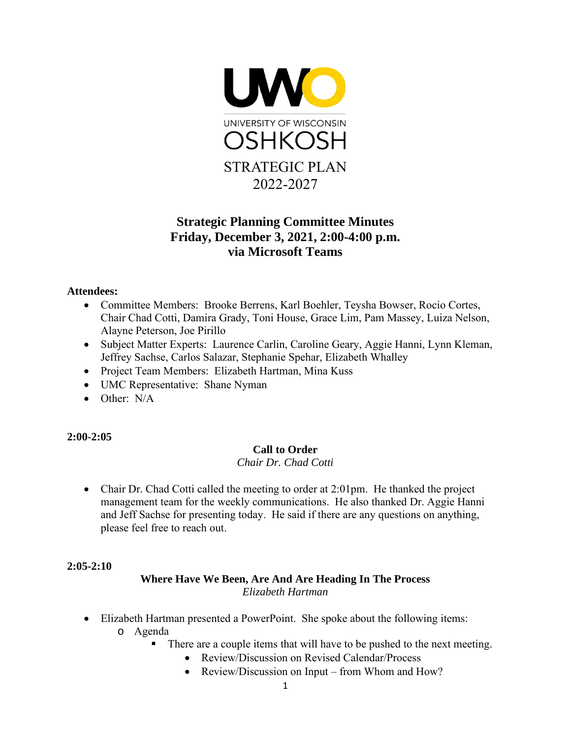

## **Strategic Planning Committee Minutes Friday, December 3, 2021, 2:00-4:00 p.m. via Microsoft Teams**

#### **Attendees:**

- Committee Members: Brooke Berrens, Karl Boehler, Teysha Bowser, Rocio Cortes, Chair Chad Cotti, Damira Grady, Toni House, Grace Lim, Pam Massey, Luiza Nelson, Alayne Peterson, Joe Pirillo
- Subject Matter Experts: Laurence Carlin, Caroline Geary, Aggie Hanni, Lynn Kleman, Jeffrey Sachse, Carlos Salazar, Stephanie Spehar, Elizabeth Whalley
- Project Team Members: Elizabeth Hartman, Mina Kuss
- UMC Representative: Shane Nyman
- Other: N/A

**2:00-2:05** 

#### **Call to Order**

*Chair Dr. Chad Cotti* 

• Chair Dr. Chad Cotti called the meeting to order at 2:01pm. He thanked the project management team for the weekly communications. He also thanked Dr. Aggie Hanni and Jeff Sachse for presenting today. He said if there are any questions on anything, please feel free to reach out.

#### **2:05-2:10**

#### **Where Have We Been, Are And Are Heading In The Process** *Elizabeth Hartman*

- Elizabeth Hartman presented a PowerPoint. She spoke about the following items: o Agenda
	- There are a couple items that will have to be pushed to the next meeting.
		- Review/Discussion on Revised Calendar/Process
		- Review/Discussion on Input from Whom and How?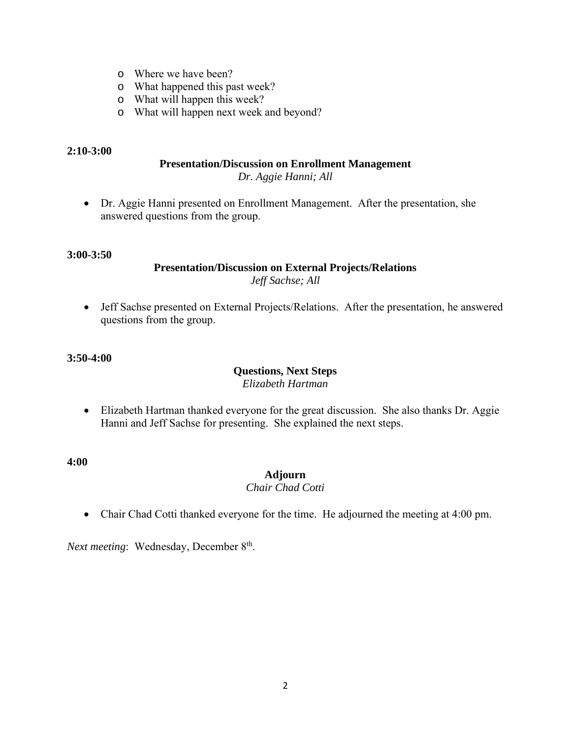- o Where we have been?
- o What happened this past week?
- o What will happen this week?
- o What will happen next week and beyond?

#### **2:10-3:00**

#### **Presentation/Discussion on Enrollment Management**

*Dr. Aggie Hanni; All* 

• Dr. Aggie Hanni presented on Enrollment Management. After the presentation, she answered questions from the group.

#### **3:00-3:50**

#### **Presentation/Discussion on External Projects/Relations**  *Jeff Sachse; All*

• Jeff Sachse presented on External Projects/Relations. After the presentation, he answered questions from the group.

#### **3:50-4:00**

#### **Questions, Next Steps**

*Elizabeth Hartman* 

• Elizabeth Hartman thanked everyone for the great discussion. She also thanks Dr. Aggie Hanni and Jeff Sachse for presenting. She explained the next steps.

**4:00** 

#### **Adjourn**

#### *Chair Chad Cotti*

• Chair Chad Cotti thanked everyone for the time. He adjourned the meeting at 4:00 pm.

*Next meeting*: Wednesday, December 8<sup>th</sup>.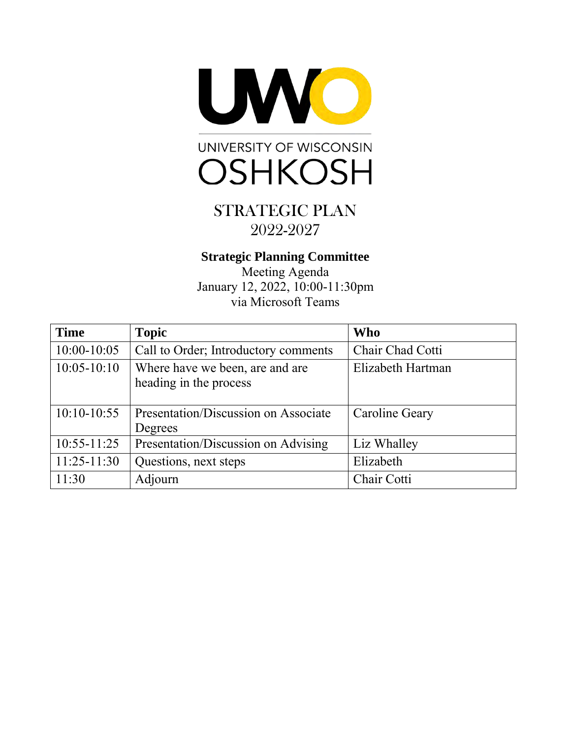

# STRATEGIC PLAN

# 2022-2027

## **Strategic Planning Committee**

Meeting Agenda January 12, 2022, 10:00-11:30pm via Microsoft Teams

| <b>Time</b>     | <b>Topic</b>                                              | <b>Who</b>            |
|-----------------|-----------------------------------------------------------|-----------------------|
| $10:00-10:05$   | Call to Order; Introductory comments                      | Chair Chad Cotti      |
| $10:05 - 10:10$ | Where have we been, are and are<br>heading in the process | Elizabeth Hartman     |
| $10:10-10:55$   | Presentation/Discussion on Associate<br>Degrees           | <b>Caroline Geary</b> |
| $10:55-11:25$   | Presentation/Discussion on Advising                       | Liz Whalley           |
| $11:25-11:30$   | Questions, next steps                                     | Elizabeth             |
| 11:30           | Adjourn                                                   | Chair Cotti           |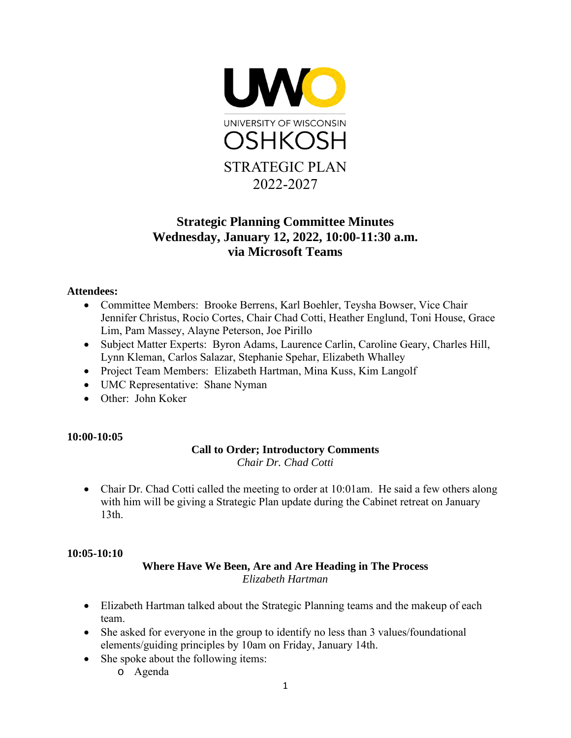

## **Strategic Planning Committee Minutes Wednesday, January 12, 2022, 10:00-11:30 a.m. via Microsoft Teams**

#### **Attendees:**

- Committee Members: Brooke Berrens, Karl Boehler, Teysha Bowser, Vice Chair Jennifer Christus, Rocio Cortes, Chair Chad Cotti, Heather Englund, Toni House, Grace Lim, Pam Massey, Alayne Peterson, Joe Pirillo
- Subject Matter Experts: Byron Adams, Laurence Carlin, Caroline Geary, Charles Hill, Lynn Kleman, Carlos Salazar, Stephanie Spehar, Elizabeth Whalley
- Project Team Members: Elizabeth Hartman, Mina Kuss, Kim Langolf
- UMC Representative: Shane Nyman
- Other: John Koker

#### **10:00-10:05**

#### **Call to Order; Introductory Comments** *Chair Dr. Chad Cotti*

• Chair Dr. Chad Cotti called the meeting to order at 10:01am. He said a few others along with him will be giving a Strategic Plan update during the Cabinet retreat on January 13th.

#### **10:05-10:10**

#### **Where Have We Been, Are and Are Heading in The Process** *Elizabeth Hartman*

- Elizabeth Hartman talked about the Strategic Planning teams and the makeup of each team.
- She asked for everyone in the group to identify no less than 3 values/foundational elements/guiding principles by 10am on Friday, January 14th.
- She spoke about the following items:
	- o Agenda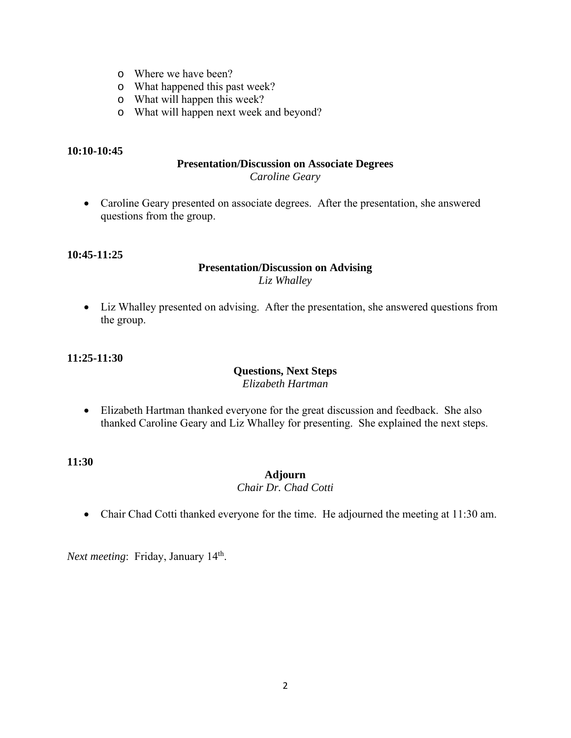- o Where we have been?
- o What happened this past week?
- o What will happen this week?
- o What will happen next week and beyond?

#### **10:10-10:45**

#### **Presentation/Discussion on Associate Degrees** *Caroline Geary*

• Caroline Geary presented on associate degrees. After the presentation, she answered questions from the group.

#### **10:45-11:25**

#### **Presentation/Discussion on Advising** *Liz Whalley*

• Liz Whalley presented on advising. After the presentation, she answered questions from the group.

#### **11:25-11:30**

#### **Questions, Next Steps**

*Elizabeth Hartman* 

• Elizabeth Hartman thanked everyone for the great discussion and feedback. She also thanked Caroline Geary and Liz Whalley for presenting. She explained the next steps.

**11:30** 

#### **Adjourn**

#### *Chair Dr. Chad Cotti*

• Chair Chad Cotti thanked everyone for the time. He adjourned the meeting at 11:30 am.

*Next meeting*: Friday, January 14<sup>th</sup>.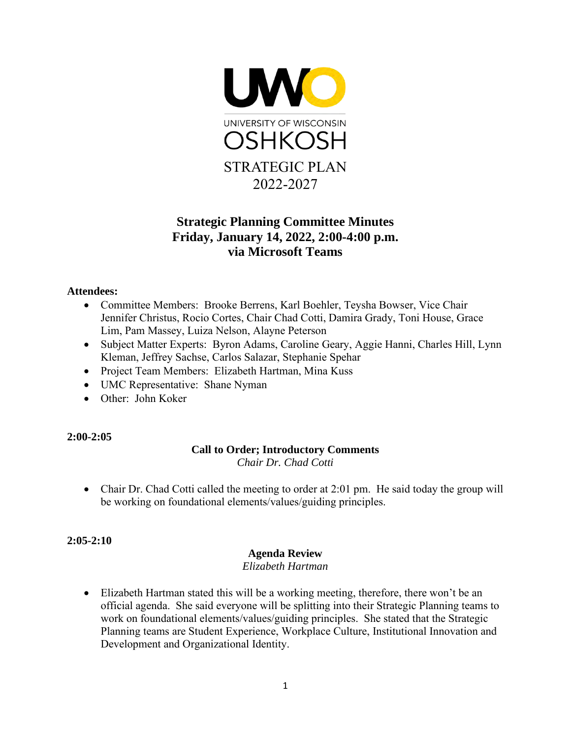

## **Strategic Planning Committee Minutes Friday, January 14, 2022, 2:00-4:00 p.m. via Microsoft Teams**

#### **Attendees:**

- Committee Members: Brooke Berrens, Karl Boehler, Teysha Bowser, Vice Chair Jennifer Christus, Rocio Cortes, Chair Chad Cotti, Damira Grady, Toni House, Grace Lim, Pam Massey, Luiza Nelson, Alayne Peterson
- Subject Matter Experts: Byron Adams, Caroline Geary, Aggie Hanni, Charles Hill, Lynn Kleman, Jeffrey Sachse, Carlos Salazar, Stephanie Spehar
- Project Team Members: Elizabeth Hartman, Mina Kuss
- UMC Representative: Shane Nyman
- Other: John Koker

#### **2:00-2:05**

#### **Call to Order; Introductory Comments** *Chair Dr. Chad Cotti*

• Chair Dr. Chad Cotti called the meeting to order at 2:01 pm. He said today the group will be working on foundational elements/values/guiding principles.

#### **2:05-2:10**

#### **Agenda Review**

*Elizabeth Hartman* 

• Elizabeth Hartman stated this will be a working meeting, therefore, there won't be an official agenda. She said everyone will be splitting into their Strategic Planning teams to work on foundational elements/values/guiding principles. She stated that the Strategic Planning teams are Student Experience, Workplace Culture, Institutional Innovation and Development and Organizational Identity.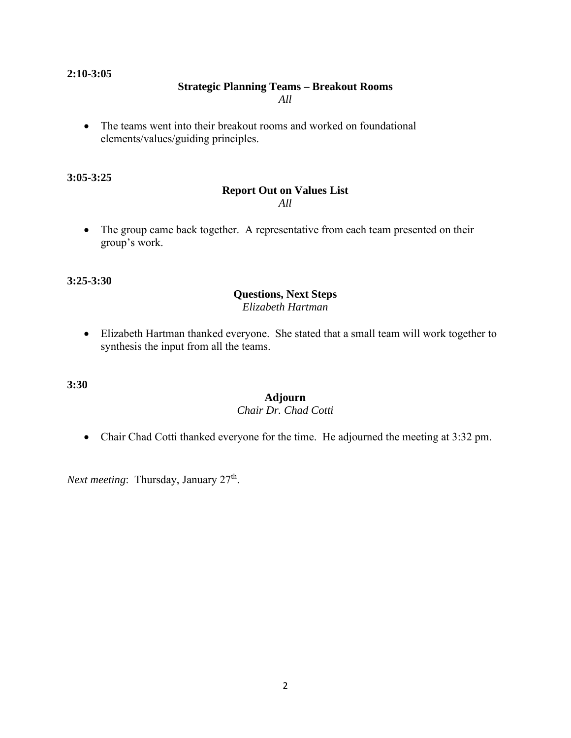#### **2:10-3:05**

#### **Strategic Planning Teams – Breakout Rooms**

*All*

• The teams went into their breakout rooms and worked on foundational elements/values/guiding principles.

#### **3:05-3:25**

#### **Report Out on Values List**  *All*

• The group came back together. A representative from each team presented on their group's work.

**3:25-3:30** 

#### **Questions, Next Steps** *Elizabeth Hartman*

• Elizabeth Hartman thanked everyone. She stated that a small team will work together to synthesis the input from all the teams.

**3:30** 

## **Adjourn**

#### *Chair Dr. Chad Cotti*

• Chair Chad Cotti thanked everyone for the time. He adjourned the meeting at 3:32 pm.

*Next meeting*: Thursday, January 27<sup>th</sup>.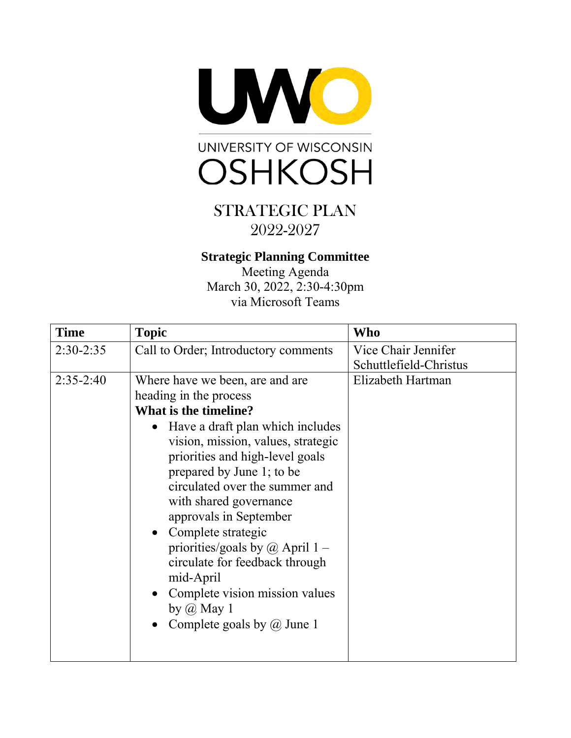



## **Strategic Planning Committee**

Meeting Agenda March 30, 2022, 2:30-4:30pm via Microsoft Teams

| <b>Time</b> | <b>Topic</b>                                                                                                                                                                                                                                                                                                                                                                                                                                                                                                                                                         | Who                                           |
|-------------|----------------------------------------------------------------------------------------------------------------------------------------------------------------------------------------------------------------------------------------------------------------------------------------------------------------------------------------------------------------------------------------------------------------------------------------------------------------------------------------------------------------------------------------------------------------------|-----------------------------------------------|
| $2:30-2:35$ | Call to Order; Introductory comments                                                                                                                                                                                                                                                                                                                                                                                                                                                                                                                                 | Vice Chair Jennifer<br>Schuttlefield-Christus |
| $2:35-2:40$ | Where have we been, are and are<br>heading in the process<br>What is the timeline?<br>Have a draft plan which includes<br>$\bullet$<br>vision, mission, values, strategic<br>priorities and high-level goals<br>prepared by June 1; to be<br>circulated over the summer and<br>with shared governance<br>approvals in September<br>Complete strategic<br>$\bullet$<br>priorities/goals by $\omega$ April 1 –<br>circulate for feedback through<br>mid-April<br>Complete vision mission values<br>$\bullet$<br>by $\omega$ May 1<br>Complete goals by $\omega$ June 1 | Elizabeth Hartman                             |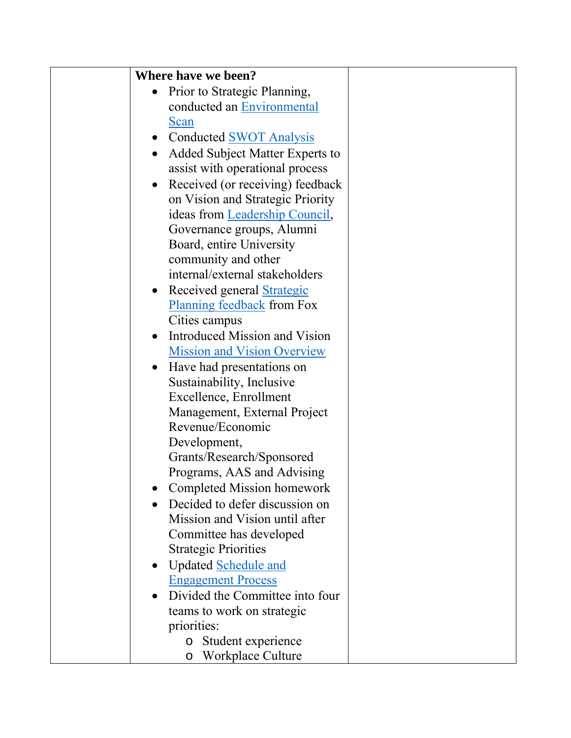| Where have we been?                            |  |
|------------------------------------------------|--|
| • Prior to Strategic Planning,                 |  |
| conducted an Environmental                     |  |
| Scan                                           |  |
| <b>Conducted SWOT Analysis</b>                 |  |
| Added Subject Matter Experts to                |  |
| assist with operational process                |  |
| Received (or receiving) feedback<br>$\bullet$  |  |
| on Vision and Strategic Priority               |  |
| ideas from Leadership Council,                 |  |
| Governance groups, Alumni                      |  |
| Board, entire University                       |  |
| community and other                            |  |
| internal/external stakeholders                 |  |
| Received general <b>Strategic</b><br>$\bullet$ |  |
| <b>Planning feedback</b> from Fox              |  |
| Cities campus                                  |  |
| Introduced Mission and Vision                  |  |
| <b>Mission and Vision Overview</b>             |  |
| Have had presentations on                      |  |
| Sustainability, Inclusive                      |  |
| Excellence, Enrollment                         |  |
| Management, External Project                   |  |
| Revenue/Economic                               |  |
| Development,                                   |  |
| Grants/Research/Sponsored                      |  |
| Programs, AAS and Advising                     |  |
| Completed Mission homework                     |  |
| Decided to defer discussion on                 |  |
| Mission and Vision until after                 |  |
| Committee has developed                        |  |
| <b>Strategic Priorities</b>                    |  |
| <b>Updated Schedule and</b>                    |  |
| <b>Engagement Process</b>                      |  |
| Divided the Committee into four                |  |
| teams to work on strategic                     |  |
| priorities:                                    |  |
| Student experience<br>$\circ$                  |  |
| Workplace Culture<br>O                         |  |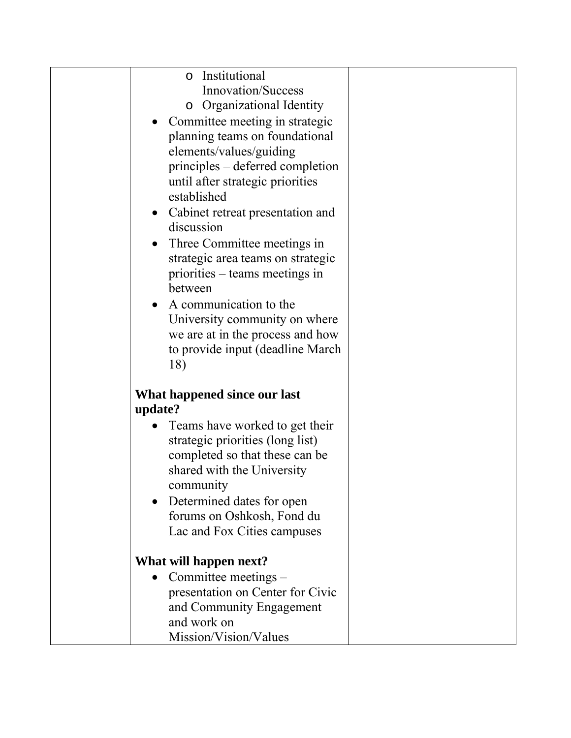| Institutional<br>$\circ$                  |  |
|-------------------------------------------|--|
| Innovation/Success                        |  |
| <b>Organizational Identity</b><br>$\circ$ |  |
| Committee meeting in strategic            |  |
| planning teams on foundational            |  |
| elements/values/guiding                   |  |
| principles – deferred completion          |  |
| until after strategic priorities          |  |
| established                               |  |
| • Cabinet retreat presentation and        |  |
| discussion                                |  |
|                                           |  |
| Three Committee meetings in<br>$\bullet$  |  |
| strategic area teams on strategic         |  |
| priorities – teams meetings in            |  |
| between                                   |  |
| A communication to the                    |  |
| University community on where             |  |
| we are at in the process and how          |  |
| to provide input (deadline March          |  |
| 18)                                       |  |
| What happened since our last              |  |
| update?                                   |  |
|                                           |  |
| Teams have worked to get their            |  |
| strategic priorities (long list)          |  |
| completed so that these can be            |  |
| shared with the University                |  |
| community                                 |  |
| Determined dates for open                 |  |
| forums on Oshkosh, Fond du                |  |
| Lac and Fox Cities campuses               |  |
| What will happen next?                    |  |
| Committee meetings -                      |  |
| presentation on Center for Civic          |  |
| and Community Engagement                  |  |
| and work on                               |  |
| Mission/Vision/Values                     |  |
|                                           |  |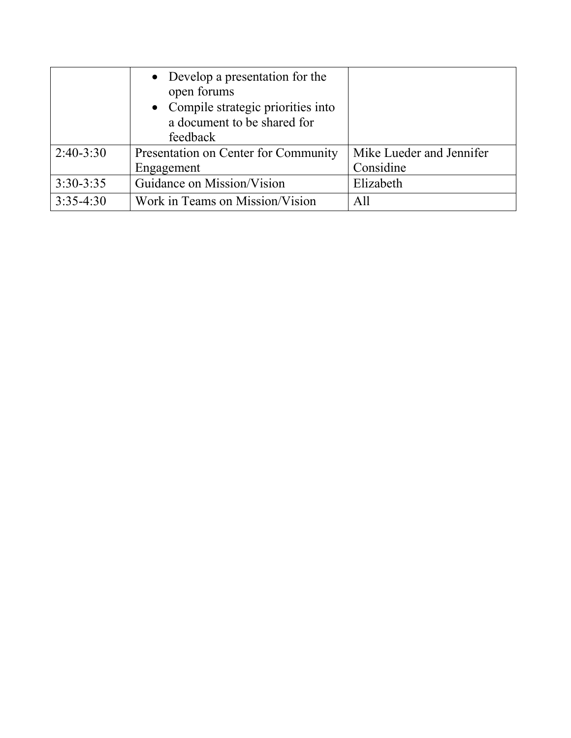|             | • Develop a presentation for the     |                          |
|-------------|--------------------------------------|--------------------------|
|             | open forums                          |                          |
|             | • Compile strategic priorities into  |                          |
|             | a document to be shared for          |                          |
|             | feedback                             |                          |
| $2:40-3:30$ | Presentation on Center for Community | Mike Lueder and Jennifer |
|             | Engagement                           | Considine                |
| $3:30-3:35$ | Guidance on Mission/Vision           | Elizabeth                |
| $3:35-4:30$ | Work in Teams on Mission/Vision      | A11                      |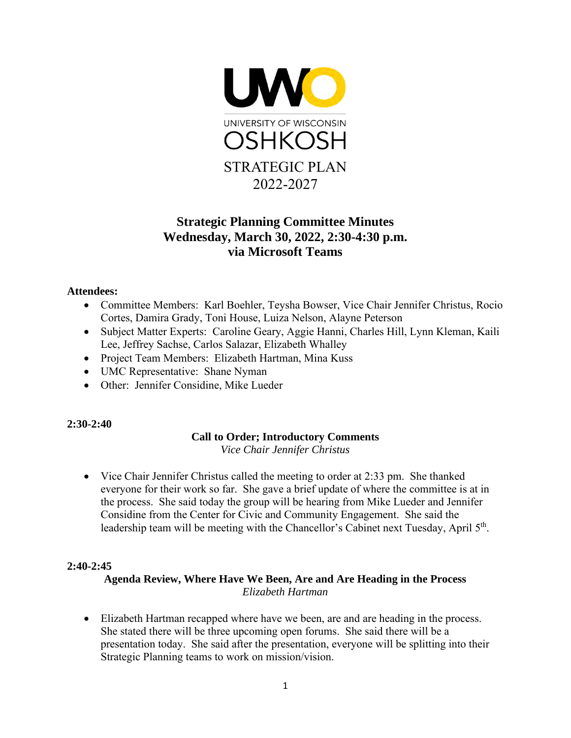

## **Strategic Planning Committee Minutes Wednesday, March 30, 2022, 2:30-4:30 p.m. via Microsoft Teams**

#### **Attendees:**

- Committee Members: Karl Boehler, Teysha Bowser, Vice Chair Jennifer Christus, Rocio Cortes, Damira Grady, Toni House, Luiza Nelson, Alayne Peterson
- Subject Matter Experts: Caroline Geary, Aggie Hanni, Charles Hill, Lynn Kleman, Kaili Lee, Jeffrey Sachse, Carlos Salazar, Elizabeth Whalley
- Project Team Members: Elizabeth Hartman, Mina Kuss
- UMC Representative: Shane Nyman
- Other: Jennifer Considine, Mike Lueder

#### **2:30-2:40**

#### **Call to Order; Introductory Comments**

*Vice Chair Jennifer Christus* 

• Vice Chair Jennifer Christus called the meeting to order at 2:33 pm. She thanked everyone for their work so far. She gave a brief update of where the committee is at in the process. She said today the group will be hearing from Mike Lueder and Jennifer Considine from the Center for Civic and Community Engagement. She said the leadership team will be meeting with the Chancellor's Cabinet next Tuesday, April 5<sup>th</sup>.

#### **2:40-2:45**

#### **Agenda Review, Where Have We Been, Are and Are Heading in the Process** *Elizabeth Hartman*

• Elizabeth Hartman recapped where have we been, are and are heading in the process. She stated there will be three upcoming open forums. She said there will be a presentation today. She said after the presentation, everyone will be splitting into their Strategic Planning teams to work on mission/vision.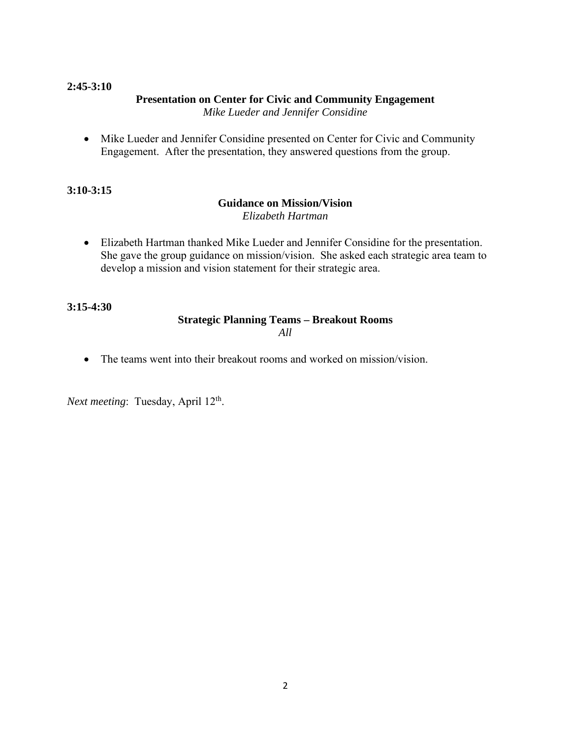#### **2:45-3:10**

#### **Presentation on Center for Civic and Community Engagement**  *Mike Lueder and Jennifer Considine*

• Mike Lueder and Jennifer Considine presented on Center for Civic and Community Engagement. After the presentation, they answered questions from the group.

#### **3:10-3:15**

#### **Guidance on Mission/Vision**  *Elizabeth Hartman*

• Elizabeth Hartman thanked Mike Lueder and Jennifer Considine for the presentation. She gave the group guidance on mission/vision. She asked each strategic area team to develop a mission and vision statement for their strategic area.

**3:15-4:30** 

#### **Strategic Planning Teams – Breakout Rooms**  *All*

• The teams went into their breakout rooms and worked on mission/vision.

*Next meeting*: Tuesday, April 12<sup>th</sup>.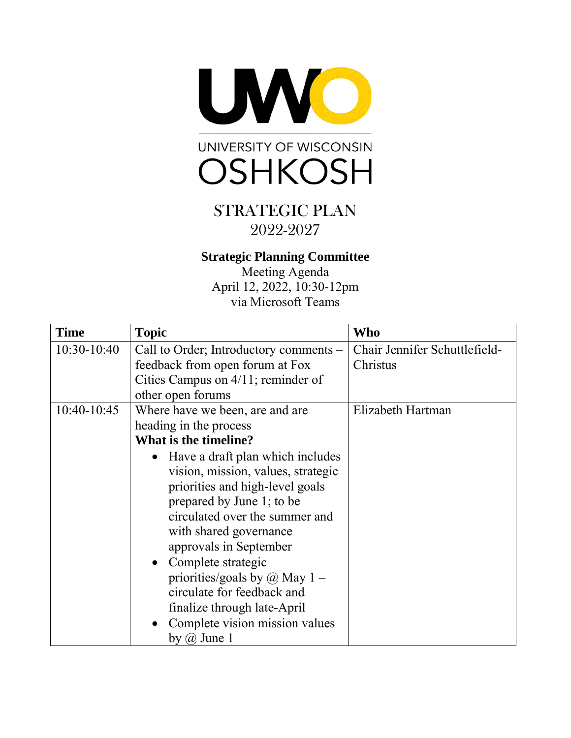



## **Strategic Planning Committee**

Meeting Agenda April 12, 2022, 10:30-12pm via Microsoft Teams

| <b>Time</b> | <b>Topic</b>                           | Who                           |
|-------------|----------------------------------------|-------------------------------|
| 10:30-10:40 | Call to Order; Introductory comments – | Chair Jennifer Schuttlefield- |
|             | feedback from open forum at Fox        | Christus                      |
|             | Cities Campus on 4/11; reminder of     |                               |
|             | other open forums                      |                               |
| 10:40-10:45 | Where have we been, are and are        | Elizabeth Hartman             |
|             | heading in the process                 |                               |
|             | What is the timeline?                  |                               |
|             | Have a draft plan which includes       |                               |
|             | vision, mission, values, strategic     |                               |
|             | priorities and high-level goals        |                               |
|             | prepared by June 1; to be              |                               |
|             | circulated over the summer and         |                               |
|             | with shared governance                 |                               |
|             | approvals in September                 |                               |
|             | • Complete strategic                   |                               |
|             | priorities/goals by $\omega$ May 1 –   |                               |
|             | circulate for feedback and             |                               |
|             | finalize through late-April            |                               |
|             | Complete vision mission values         |                               |
|             | by $\omega$ June 1                     |                               |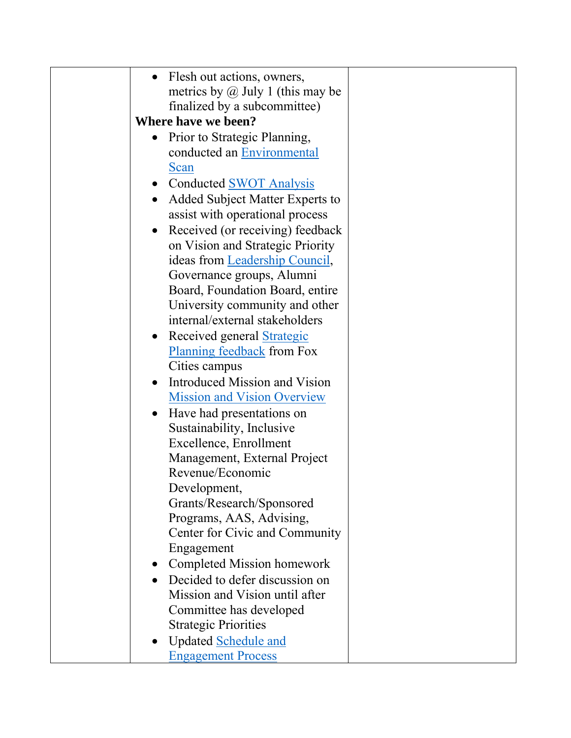| Flesh out actions, owners,                     |  |
|------------------------------------------------|--|
| metrics by $\omega$ July 1 (this may be        |  |
| finalized by a subcommittee)                   |  |
| Where have we been?                            |  |
| Prior to Strategic Planning,                   |  |
| conducted an Environmental                     |  |
| Scan                                           |  |
| <b>Conducted SWOT Analysis</b>                 |  |
| Added Subject Matter Experts to                |  |
| assist with operational process                |  |
|                                                |  |
| Received (or receiving) feedback<br>$\bullet$  |  |
| on Vision and Strategic Priority               |  |
| ideas from Leadership Council,                 |  |
| Governance groups, Alumni                      |  |
| Board, Foundation Board, entire                |  |
| University community and other                 |  |
| internal/external stakeholders                 |  |
| Received general <b>Strategic</b><br>$\bullet$ |  |
| <b>Planning feedback</b> from Fox              |  |
| Cities campus                                  |  |
| Introduced Mission and Vision                  |  |
| <b>Mission and Vision Overview</b>             |  |
| Have had presentations on                      |  |
| Sustainability, Inclusive                      |  |
| Excellence, Enrollment                         |  |
| Management, External Project                   |  |
| Revenue/Economic                               |  |
| Development,                                   |  |
| Grants/Research/Sponsored                      |  |
| Programs, AAS, Advising,                       |  |
| Center for Civic and Community                 |  |
| Engagement                                     |  |
|                                                |  |
| Completed Mission homework                     |  |
| Decided to defer discussion on                 |  |
| Mission and Vision until after                 |  |
| Committee has developed                        |  |
| <b>Strategic Priorities</b>                    |  |
| <b>Updated Schedule and</b>                    |  |
| <b>Engagement Process</b>                      |  |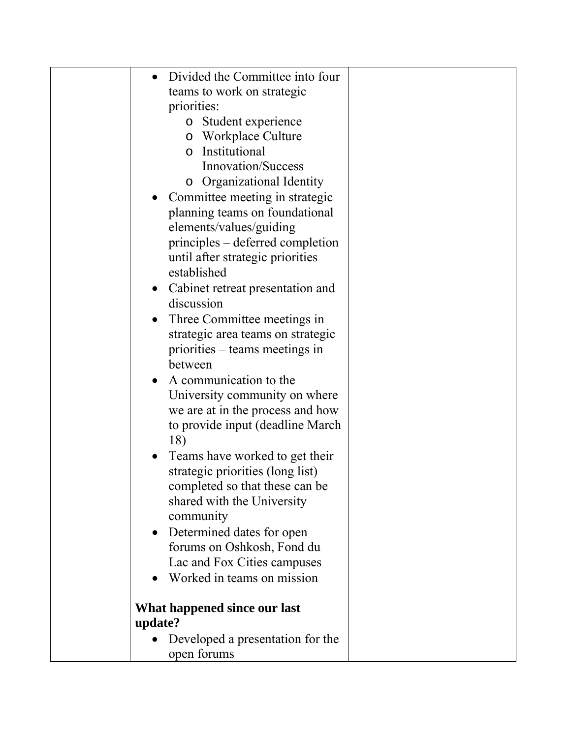| Divided the Committee into four           |  |
|-------------------------------------------|--|
| teams to work on strategic                |  |
| priorities:                               |  |
| o Student experience                      |  |
| <b>Workplace Culture</b><br>$\circ$       |  |
| Institutional<br>$\circ$                  |  |
| <b>Innovation/Success</b>                 |  |
| <b>Organizational Identity</b><br>$\circ$ |  |
| Committee meeting in strategic            |  |
| planning teams on foundational            |  |
| elements/values/guiding                   |  |
| principles – deferred completion          |  |
| until after strategic priorities          |  |
| established                               |  |
| Cabinet retreat presentation and          |  |
| discussion                                |  |
| Three Committee meetings in               |  |
| strategic area teams on strategic         |  |
| priorities – teams meetings in            |  |
| between                                   |  |
| A communication to the                    |  |
| University community on where             |  |
| we are at in the process and how          |  |
| to provide input (deadline March          |  |
| 18)                                       |  |
| Teams have worked to get their            |  |
| strategic priorities (long list)          |  |
| completed so that these can be            |  |
| shared with the University                |  |
| community                                 |  |
| Determined dates for open                 |  |
| forums on Oshkosh, Fond du                |  |
| Lac and Fox Cities campuses               |  |
| Worked in teams on mission                |  |
|                                           |  |
| What happened since our last              |  |
| update?                                   |  |
| Developed a presentation for the          |  |
| open forums                               |  |
|                                           |  |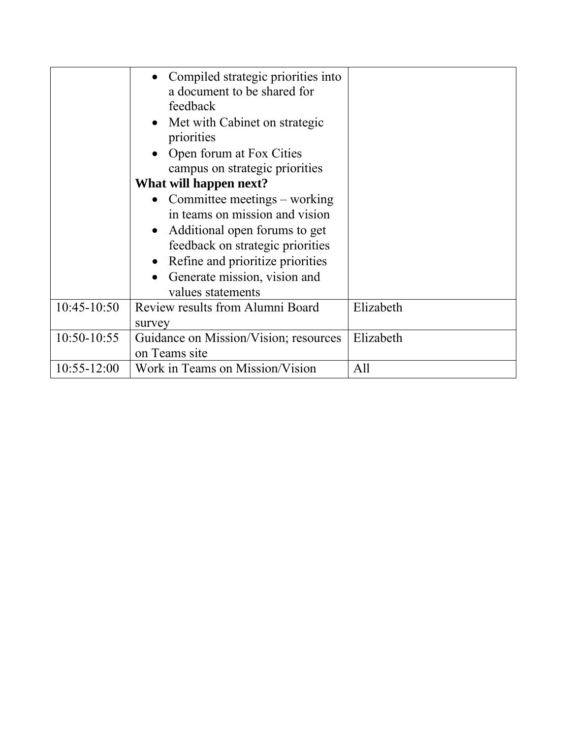|                 | Compiled strategic priorities into<br>a document to be shared for<br>feedback<br>• Met with Cabinet on strategic<br>priorities<br>• Open forum at Fox Cities |           |
|-----------------|--------------------------------------------------------------------------------------------------------------------------------------------------------------|-----------|
|                 | campus on strategic priorities<br>What will happen next?                                                                                                     |           |
|                 | Committee meetings – working                                                                                                                                 |           |
|                 | in teams on mission and vision                                                                                                                               |           |
|                 | Additional open forums to get                                                                                                                                |           |
|                 | feedback on strategic priorities                                                                                                                             |           |
|                 | Refine and prioritize priorities                                                                                                                             |           |
|                 | Generate mission, vision and                                                                                                                                 |           |
|                 | values statements                                                                                                                                            |           |
| $10:45-10:50$   | Review results from Alumni Board                                                                                                                             | Elizabeth |
|                 | survey                                                                                                                                                       |           |
| $10:50-10:55$   | Guidance on Mission/Vision; resources                                                                                                                        | Elizabeth |
|                 | on Teams site                                                                                                                                                |           |
| $10:55 - 12:00$ | Work in Teams on Mission/Vision                                                                                                                              | All       |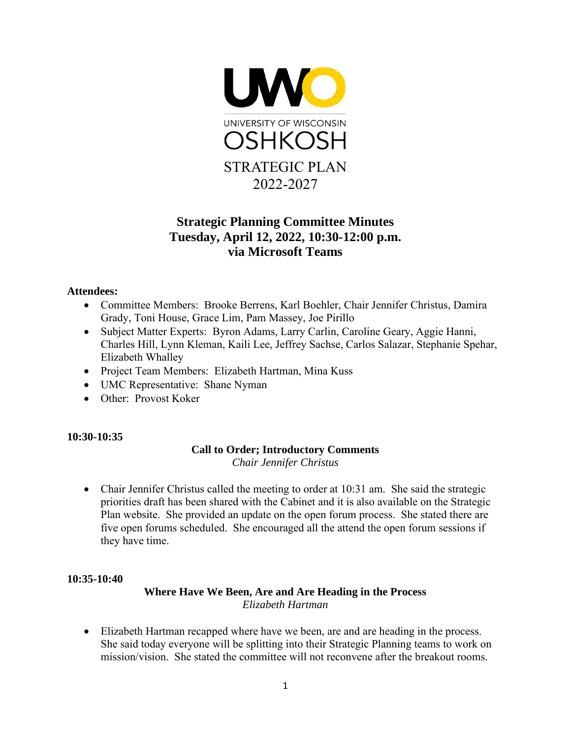

## **Strategic Planning Committee Minutes Tuesday, April 12, 2022, 10:30-12:00 p.m. via Microsoft Teams**

#### **Attendees:**

- Committee Members: Brooke Berrens, Karl Boehler, Chair Jennifer Christus, Damira Grady, Toni House, Grace Lim, Pam Massey, Joe Pirillo
- Subject Matter Experts: Byron Adams, Larry Carlin, Caroline Geary, Aggie Hanni, Charles Hill, Lynn Kleman, Kaili Lee, Jeffrey Sachse, Carlos Salazar, Stephanie Spehar, Elizabeth Whalley
- Project Team Members: Elizabeth Hartman, Mina Kuss
- UMC Representative: Shane Nyman
- Other: Provost Koker

#### **10:30-10:35**

#### **Call to Order; Introductory Comments** *Chair Jennifer Christus*

• Chair Jennifer Christus called the meeting to order at 10:31 am. She said the strategic priorities draft has been shared with the Cabinet and it is also available on the Strategic Plan website. She provided an update on the open forum process. She stated there are five open forums scheduled. She encouraged all the attend the open forum sessions if they have time.

#### **10:35-10:40**

#### **Where Have We Been, Are and Are Heading in the Process** *Elizabeth Hartman*

• Elizabeth Hartman recapped where have we been, are and are heading in the process. She said today everyone will be splitting into their Strategic Planning teams to work on mission/vision. She stated the committee will not reconvene after the breakout rooms.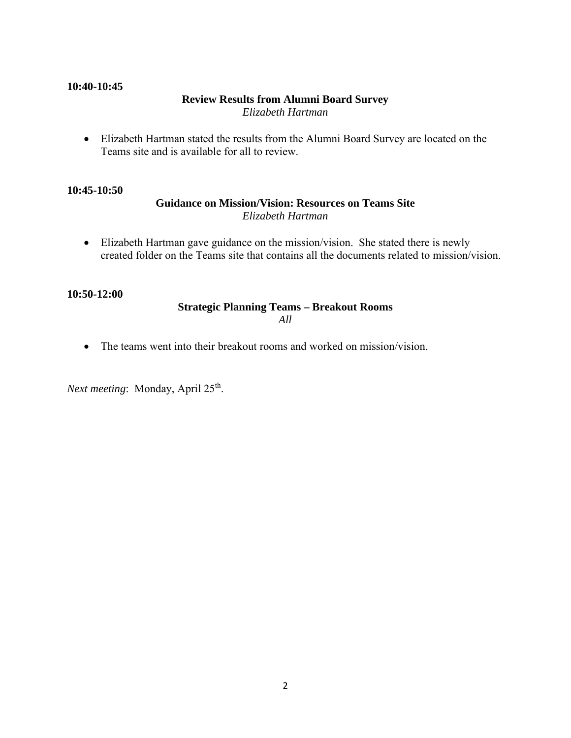#### **10:40-10:45**

## **Review Results from Alumni Board Survey**

*Elizabeth Hartman* 

• Elizabeth Hartman stated the results from the Alumni Board Survey are located on the Teams site and is available for all to review.

#### **10:45-10:50**

#### **Guidance on Mission/Vision: Resources on Teams Site** *Elizabeth Hartman*

• Elizabeth Hartman gave guidance on the mission/vision. She stated there is newly created folder on the Teams site that contains all the documents related to mission/vision.

#### **10:50-12:00**

#### **Strategic Planning Teams – Breakout Rooms**  *All*

• The teams went into their breakout rooms and worked on mission/vision.

*Next meeting*: Monday, April 25<sup>th</sup>.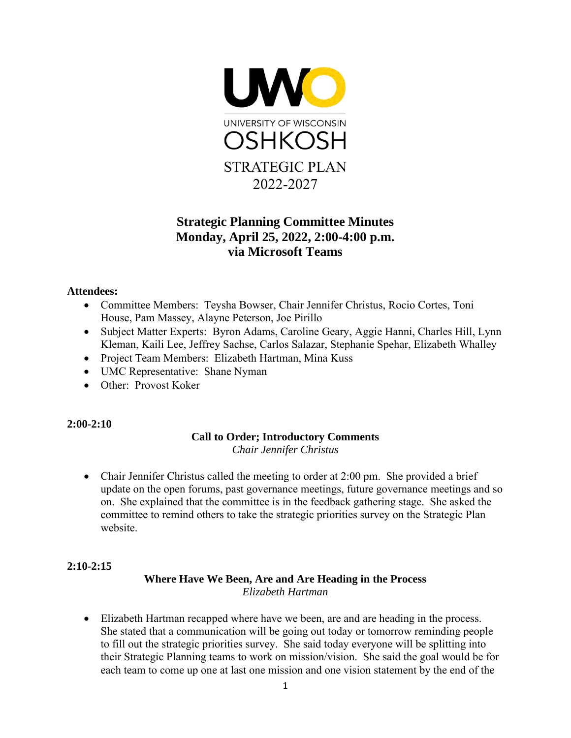

## **Strategic Planning Committee Minutes Monday, April 25, 2022, 2:00-4:00 p.m. via Microsoft Teams**

#### **Attendees:**

- Committee Members: Teysha Bowser, Chair Jennifer Christus, Rocio Cortes, Toni House, Pam Massey, Alayne Peterson, Joe Pirillo
- Subject Matter Experts: Byron Adams, Caroline Geary, Aggie Hanni, Charles Hill, Lynn Kleman, Kaili Lee, Jeffrey Sachse, Carlos Salazar, Stephanie Spehar, Elizabeth Whalley
- Project Team Members: Elizabeth Hartman, Mina Kuss
- UMC Representative: Shane Nyman
- Other: Provost Koker

#### **2:00-2:10**

## **Call to Order; Introductory Comments**

*Chair Jennifer Christus* 

• Chair Jennifer Christus called the meeting to order at 2:00 pm. She provided a brief update on the open forums, past governance meetings, future governance meetings and so on. She explained that the committee is in the feedback gathering stage. She asked the committee to remind others to take the strategic priorities survey on the Strategic Plan website.

#### **2:10-2:15**

#### **Where Have We Been, Are and Are Heading in the Process** *Elizabeth Hartman*

• Elizabeth Hartman recapped where have we been, are and are heading in the process. She stated that a communication will be going out today or tomorrow reminding people to fill out the strategic priorities survey. She said today everyone will be splitting into their Strategic Planning teams to work on mission/vision. She said the goal would be for each team to come up one at last one mission and one vision statement by the end of the